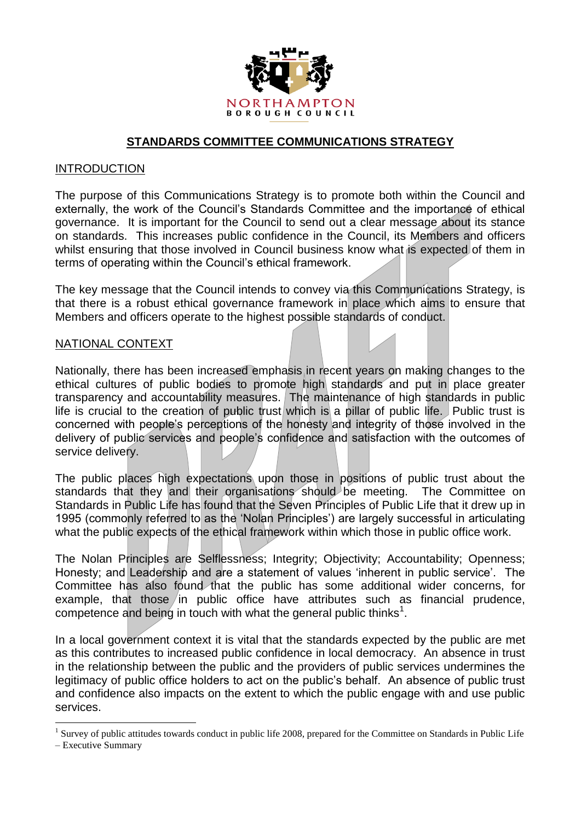

#### **STANDARDS COMMITTEE COMMUNICATIONS STRATEGY**

#### INTRODUCTION

The purpose of this Communications Strategy is to promote both within the Council and externally, the work of the Council's Standards Committee and the importance of ethical governance. It is important for the Council to send out a clear message about its stance on standards. This increases public confidence in the Council, its Members and officers whilst ensuring that those involved in Council business know what is expected of them in terms of operating within the Council's ethical framework.

The key message that the Council intends to convey via this Communications Strategy, is that there is a robust ethical governance framework in place which aims to ensure that Members and officers operate to the highest possible standards of conduct.

#### NATIONAL CONTEXT

Nationally, there has been increased emphasis in recent years on making changes to the ethical cultures of public bodies to promote high standards and put in place greater transparency and accountability measures. The maintenance of high standards in public life is crucial to the creation of public trust which is a pillar of public life. Public trust is concerned with people's perceptions of the honesty and integrity of those involved in the delivery of public services and people's confidence and satisfaction with the outcomes of service delivery.

The public places high expectations upon those in positions of public trust about the standards that they and their organisations should be meeting. The Committee on Standards in Public Life has found that the Seven Principles of Public Life that it drew up in 1995 (commonly referred to as the 'Nolan Principles') are largely successful in articulating what the public expects of the ethical framework within which those in public office work.

The Nolan Principles are Selflessness; Integrity; Objectivity; Accountability; Openness; Honesty; and Leadership and are a statement of values 'inherent in public service'. The Committee has also found that the public has some additional wider concerns, for example, that those in public office have attributes such as financial prudence, competence and being in touch with what the general public thinks<sup>1</sup>.

In a local government context it is vital that the standards expected by the public are met as this contributes to increased public confidence in local democracy. An absence in trust in the relationship between the public and the providers of public services undermines the legitimacy of public office holders to act on the public's behalf. An absence of public trust and confidence also impacts on the extent to which the public engage with and use public services.

<sup>1</sup>  $<sup>1</sup>$  Survey of public attitudes towards conduct in public life 2008, prepared for the Committee on Standards in Public Life</sup>

<sup>–</sup> Executive Summary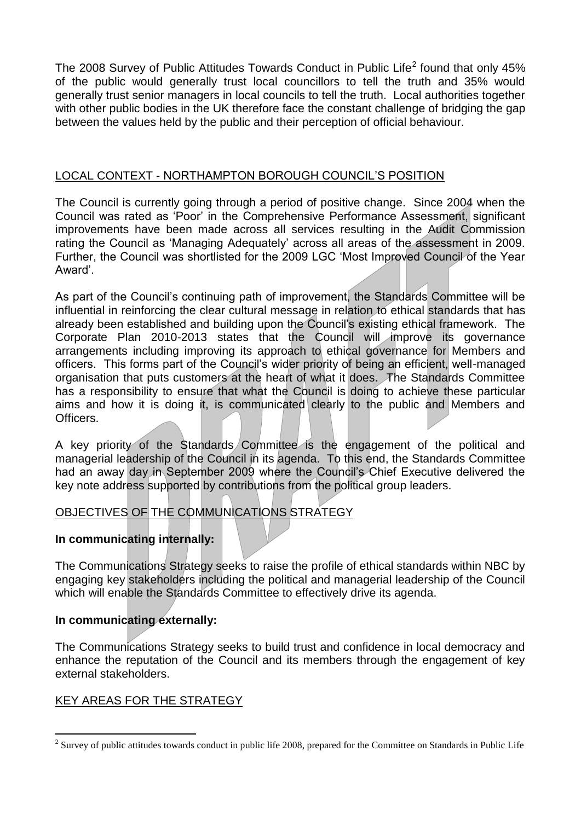The 2008 Survey of Public Attitudes Towards Conduct in Public Life<sup>2</sup> found that only 45% of the public would generally trust local councillors to tell the truth and 35% would generally trust senior managers in local councils to tell the truth. Local authorities together with other public bodies in the UK therefore face the constant challenge of bridging the gap between the values held by the public and their perception of official behaviour.

#### LOCAL CONTEXT - NORTHAMPTON BOROUGH COUNCIL'S POSITION

The Council is currently going through a period of positive change. Since 2004 when the Council was rated as 'Poor' in the Comprehensive Performance Assessment, significant improvements have been made across all services resulting in the Audit Commission rating the Council as 'Managing Adequately' across all areas of the assessment in 2009. Further, the Council was shortlisted for the 2009 LGC 'Most Improved Council of the Year Award'.

As part of the Council's continuing path of improvement, the Standards Committee will be influential in reinforcing the clear cultural message in relation to ethical standards that has already been established and building upon the Council's existing ethical framework. The Corporate Plan 2010-2013 states that the Council will improve its governance arrangements including improving its approach to ethical governance for Members and officers. This forms part of the Council's wider priority of being an efficient, well-managed organisation that puts customers at the heart of what it does. The Standards Committee has a responsibility to ensure that what the Council is doing to achieve these particular aims and how it is doing it, is communicated clearly to the public and Members and Officers.

A key priority of the Standards Committee is the engagement of the political and managerial leadership of the Council in its agenda. To this end, the Standards Committee had an away day in September 2009 where the Council's Chief Executive delivered the key note address supported by contributions from the political group leaders.

# OBJECTIVES OF THE COMMUNICATIONS STRATEGY

### **In communicating internally:**

The Communications Strategy seeks to raise the profile of ethical standards within NBC by engaging key stakeholders including the political and managerial leadership of the Council which will enable the Standards Committee to effectively drive its agenda.

#### **In communicating externally:**

The Communications Strategy seeks to build trust and confidence in local democracy and enhance the reputation of the Council and its members through the engagement of key external stakeholders.

### KEY AREAS FOR THE STRATEGY

1

 $2$  Survey of public attitudes towards conduct in public life 2008, prepared for the Committee on Standards in Public Life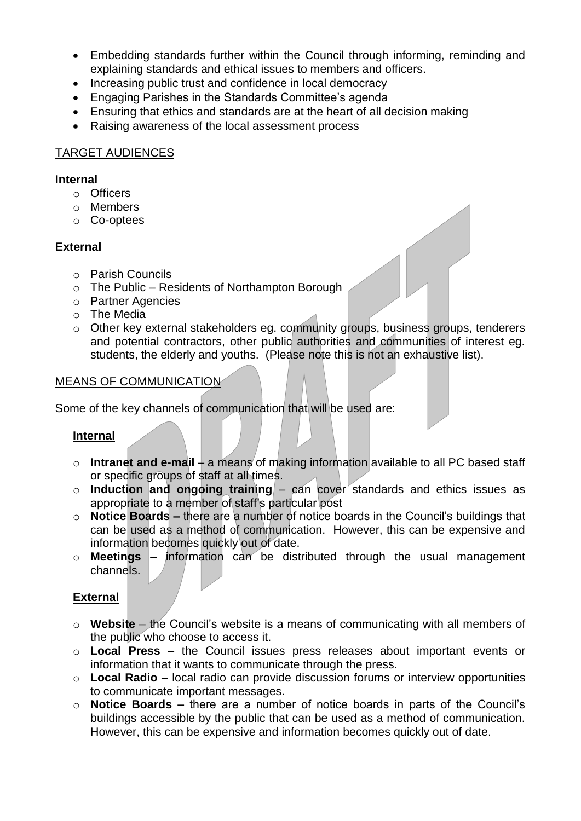- Embedding standards further within the Council through informing, reminding and explaining standards and ethical issues to members and officers.
- Increasing public trust and confidence in local democracy
- Engaging Parishes in the Standards Committee's agenda
- Ensuring that ethics and standards are at the heart of all decision making
- Raising awareness of the local assessment process

## TARGET AUDIENCES

#### **Internal**

- o Officers
- o Members
- o Co-optees

## **External**

- o Parish Councils
- o The Public Residents of Northampton Borough
- o Partner Agencies
- o The Media
- o Other key external stakeholders eg. community groups, business groups, tenderers and potential contractors, other public authorities and communities of interest eg. students, the elderly and youths. (Please note this is not an exhaustive list).

### MEANS OF COMMUNICATION

Some of the key channels of communication that will be used are:

### **Internal**

- o **Intranet and e-mail**  a means of making information available to all PC based staff or specific groups of staff at all times.
- o **Induction and ongoing training** can cover standards and ethics issues as appropriate to a member of staff's particular post
- o **Notice Boards –** there are a number of notice boards in the Council's buildings that can be used as a method of communication. However, this can be expensive and information becomes quickly out of date.
- o **Meetings –** information can be distributed through the usual management channels.

# **External**

- o **Website**  the Council's website is a means of communicating with all members of the public who choose to access it.
- o **Local Press** the Council issues press releases about important events or information that it wants to communicate through the press.
- o **Local Radio –** local radio can provide discussion forums or interview opportunities to communicate important messages.
- o **Notice Boards –** there are a number of notice boards in parts of the Council's buildings accessible by the public that can be used as a method of communication. However, this can be expensive and information becomes quickly out of date.